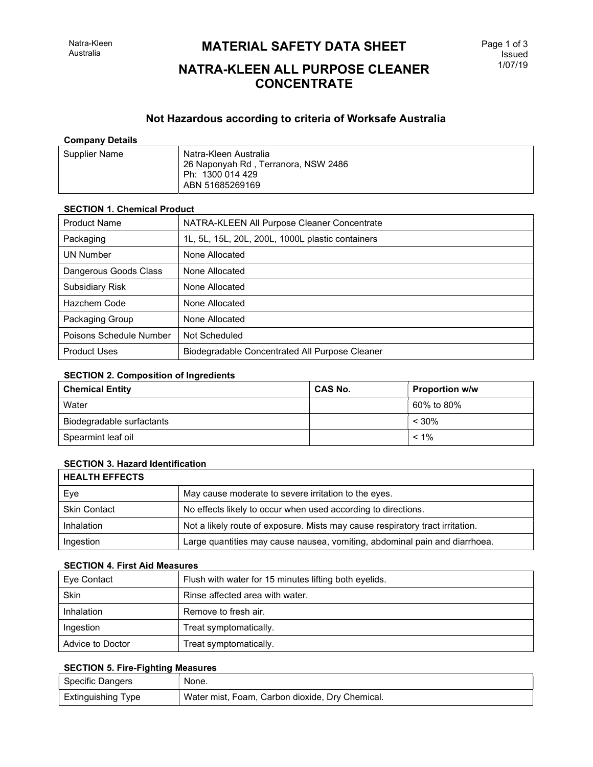## **MATERIAL SAFETY DATA SHEET**

## NATRA-KLEEN ALL PURPOSE CLEANER **CONCENTRATE**

## Not Hazardous according to criteria of Worksafe Australia

## Company Details

| Supplier Name | Natra-Kleen Australia<br>26 Naponyah Rd, Terranora, NSW 2486<br>Ph: 1300 014 429<br>ABN 51685269169 |
|---------------|-----------------------------------------------------------------------------------------------------|
|---------------|-----------------------------------------------------------------------------------------------------|

## SECTION 1. Chemical Product

| <b>Product Name</b>     | NATRA-KLEEN All Purpose Cleaner Concentrate      |
|-------------------------|--------------------------------------------------|
| Packaging               | 1L, 5L, 15L, 20L, 200L, 1000L plastic containers |
| <b>UN Number</b>        | None Allocated                                   |
| Dangerous Goods Class   | None Allocated                                   |
| Subsidiary Risk         | None Allocated                                   |
| Hazchem Code            | None Allocated                                   |
| Packaging Group         | None Allocated                                   |
| Poisons Schedule Number | Not Scheduled                                    |
| <b>Product Uses</b>     | Biodegradable Concentrated All Purpose Cleaner   |

#### SECTION 2. Composition of Ingredients

| <b>Chemical Entity</b>    | <b>CAS No.</b> | <b>Proportion w/w</b> |
|---------------------------|----------------|-----------------------|
| Water                     |                | 60% to 80%            |
| Biodegradable surfactants |                | $< 30\%$              |
| Spearmint leaf oil        |                | $< 1\%$               |

## **SECTION 3. Hazard Identification**

| <b>HEALTH EFFECTS</b> |                                                                               |
|-----------------------|-------------------------------------------------------------------------------|
| Eye                   | May cause moderate to severe irritation to the eyes.                          |
| <b>Skin Contact</b>   | No effects likely to occur when used according to directions.                 |
| Inhalation            | Not a likely route of exposure. Mists may cause respiratory tract irritation. |
| Ingestion             | Large quantities may cause nausea, vomiting, abdominal pain and diarrhoea.    |

#### SECTION 4. First Aid Measures

| Eve Contact      | Flush with water for 15 minutes lifting both eyelids. |
|------------------|-------------------------------------------------------|
| Skin             | Rinse affected area with water.                       |
| Inhalation       | Remove to fresh air.                                  |
| Ingestion        | Treat symptomatically.                                |
| Advice to Doctor | Treat symptomatically.                                |

## SECTION 5. Fire-Fighting Measures

| <b>Specific Dangers</b> | None.                                           |
|-------------------------|-------------------------------------------------|
| Extinguishing Type      | Water mist, Foam, Carbon dioxide, Dry Chemical. |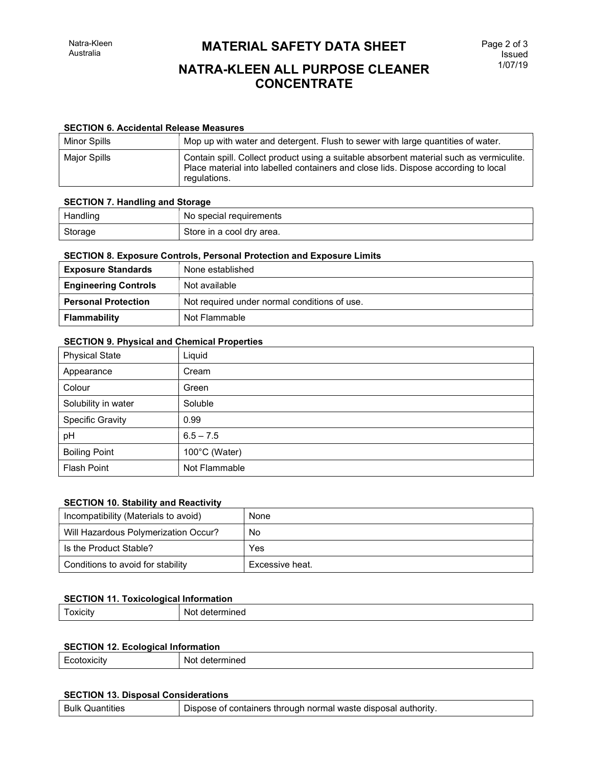## **MATERIAL SAFETY DATA SHEET**

# NATRA-KLEEN ALL PURPOSE CLEANER CONCENTRATE

#### SECTION 6. Accidental Release Measures

| Minor Spills | Mop up with water and detergent. Flush to sewer with large quantities of water.                                                                                                               |
|--------------|-----------------------------------------------------------------------------------------------------------------------------------------------------------------------------------------------|
| Major Spills | Contain spill. Collect product using a suitable absorbent material such as vermiculite.<br>Place material into labelled containers and close lids. Dispose according to local<br>regulations. |

#### SECTION 7. Handling and Storage

| Handling | . No special requirements |
|----------|---------------------------|
| Storage  | Store in a cool dry area. |

## SECTION 8. Exposure Controls, Personal Protection and Exposure Limits

| <b>Exposure Standards</b>   | None established                             |
|-----------------------------|----------------------------------------------|
| <b>Engineering Controls</b> | Not available                                |
| <b>Personal Protection</b>  | Not required under normal conditions of use. |
| <b>Flammability</b>         | Not Flammable                                |

## SECTION 9. Physical and Chemical Properties

| <b>Physical State</b> | Liquid        |
|-----------------------|---------------|
| Appearance            | Cream         |
| Colour                | Green         |
| Solubility in water   | Soluble       |
| Specific Gravity      | 0.99          |
| pH                    | $6.5 - 7.5$   |
| <b>Boiling Point</b>  | 100°C (Water) |
| <b>Flash Point</b>    | Not Flammable |

#### SECTION 10. Stability and Reactivity

| Incompatibility (Materials to avoid) | None            |
|--------------------------------------|-----------------|
| Will Hazardous Polymerization Occur? | No              |
| Is the Product Stable?               | Yes             |
| Conditions to avoid for stability    | Excessive heat. |

## **SECTION 11. Toxicological Information**

| -----<br>acin<br>. | Νo<br>nıne |
|--------------------|------------|
|                    |            |

## SECTION 12. Ecological Information

| $\overline{\phantom{0}}$<br>ור י<br>v<br>- | NG<br>.<br>-- |
|--------------------------------------------|---------------|
|                                            |               |

## SECTION 13. Disposal Considerations

| <b>Bulk Quantities</b> | Dispose of containers through normal waste disposal authority. |
|------------------------|----------------------------------------------------------------|